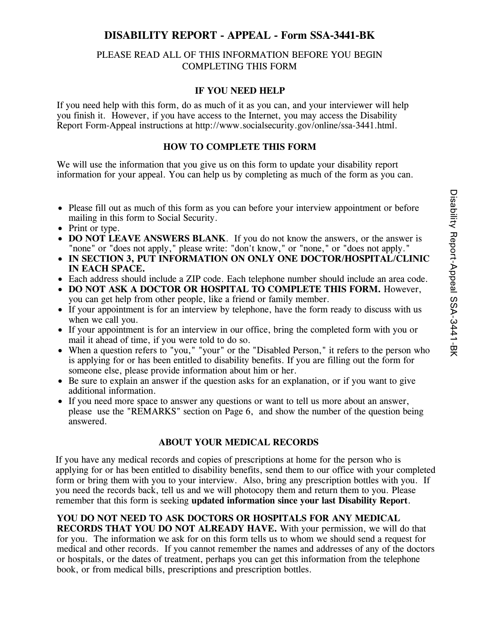## **DISABILITY REPORT - APPEAL - Form SSA-3441-BK**

### PLEASE READ ALL OF THIS INFORMATION BEFORE YOU BEGIN COMPLETING THIS FORM

### **IF YOU NEED HELP**

If you need help with this form, do as much of it as you can, and your interviewer will help you finish it. However, if you have access to the Internet, you may access the Disability Report Form-Appeal instructions at http://www.socialsecurity.gov/online/ssa-3441.html.

### **HOW TO COMPLETE THIS FORM**

We will use the information that you give us on this form to update your disability report information for your appeal. You can help us by completing as much of the form as you can.

- Please fill out as much of this form as you can before your interview appointment or before mailing in this form to Social Security.
- Print or type.
- **DO NOT LEAVE ANSWERS BLANK**. If you do not know the answers, or the answer is "none" or "does not apply," please write: "don't know," or "none," or "does not apply."
- **IN SECTION 3, PUT INFORMATION ON ONLY ONE DOCTOR/HOSPITAL/CLINIC IN EACH SPACE.**
- Each address should include a ZIP code. Each telephone number should include an area code.
- **DO NOT ASK A DOCTOR OR HOSPITAL TO COMPLETE THIS FORM.** However, you can get help from other people, like a friend or family member.
- If your appointment is for an interview by telephone, have the form ready to discuss with us when we call you.
- If your appointment is for an interview in our office, bring the completed form with you or mail it ahead of time, if you were told to do so.
- When a question refers to "you," "your" or the "Disabled Person," it refers to the person who is applying for or has been entitled to disability benefits. If you are filling out the form for someone else, please provide information about him or her.
- Be sure to explain an answer if the question asks for an explanation, or if you want to give additional information.
- If you need more space to answer any questions or want to tell us more about an answer, please use the "REMARKS" section on Page 6, and show the number of the question being answered.

### **ABOUT YOUR MEDICAL RECORDS**

If you have any medical records and copies of prescriptions at home for the person who is applying for or has been entitled to disability benefits, send them to our office with your completed form or bring them with you to your interview. Also, bring any prescription bottles with you. If you need the records back, tell us and we will photocopy them and return them to you. Please remember that this form is seeking **updated information since your last Disability Report**.

**YOU DO NOT NEED TO ASK DOCTORS OR HOSPITALS FOR ANY MEDICAL RECORDS THAT YOU DO NOT ALREADY HAVE.** With your permission, we will do that for you. The information we ask for on this form tells us to whom we should send a request for medical and other records. If you cannot remember the names and addresses of any of the doctors or hospitals, or the dates of treatment, perhaps you can get this information from the telephone book, or from medical bills, prescriptions and prescription bottles.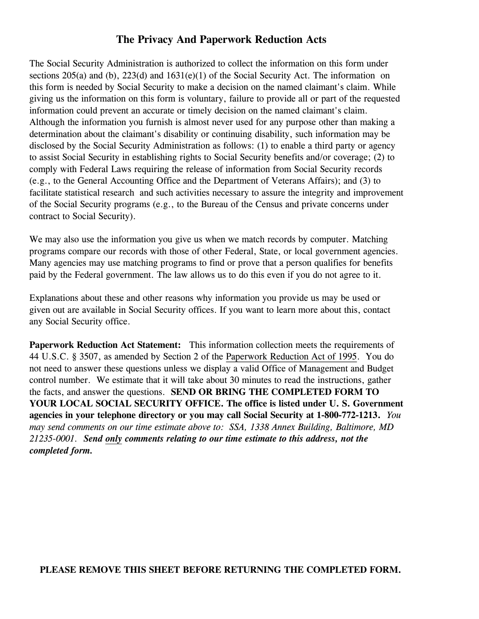## **The Privacy And Paperwork Reduction Acts**

The Social Security Administration is authorized to collect the information on this form under sections  $205(a)$  and (b),  $223(d)$  and  $1631(e)(1)$  of the Social Security Act. The information on this form is needed by Social Security to make a decision on the named claimant's claim. While giving us the information on this form is voluntary, failure to provide all or part of the requested information could prevent an accurate or timely decision on the named claimant's claim. Although the information you furnish is almost never used for any purpose other than making a determination about the claimant's disability or continuing disability, such information may be disclosed by the Social Security Administration as follows: (1) to enable a third party or agency to assist Social Security in establishing rights to Social Security benefits and/or coverage; (2) to comply with Federal Laws requiring the release of information from Social Security records (e.g., to the General Accounting Office and the Department of Veterans Affairs); and (3) to facilitate statistical research and such activities necessary to assure the integrity and improvement of the Social Security programs (e.g., to the Bureau of the Census and private concerns under contract to Social Security).

We may also use the information you give us when we match records by computer. Matching programs compare our records with those of other Federal, State, or local government agencies. Many agencies may use matching programs to find or prove that a person qualifies for benefits paid by the Federal government. The law allows us to do this even if you do not agree to it.

Explanations about these and other reasons why information you provide us may be used or given out are available in Social Security offices. If you want to learn more about this, contact any Social Security office.

**Paperwork Reduction Act Statement:** This information collection meets the requirements of 44 U.S.C. § 3507, as amended by Section 2 of the Paperwork Reduction Act of 1995. You do not need to answer these questions unless we display a valid Office of Management and Budget control number. We estimate that it will take about 30 minutes to read the instructions, gather the facts, and answer the questions. **SEND OR BRING THE COMPLETED FORM TO YOUR LOCAL SOCIAL SECURITY OFFICE. The office is listed under U. S. Government agencies in your telephone directory or you may call Social Security at 1-800-772-1213.** *You may send comments on our time estimate above to: SSA, 1338 Annex Building, Baltimore, MD 21235-0001. Send only comments relating to our time estimate to this address, not the completed form.* 

#### **PLEASE REMOVE THIS SHEET BEFORE RETURNING THE COMPLETED FORM.**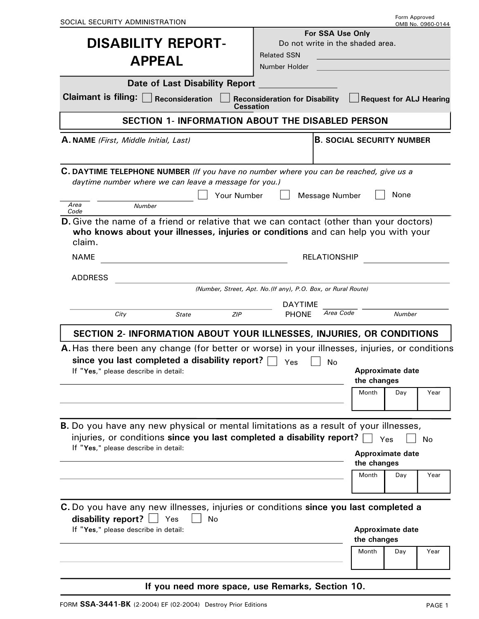| SOCIAL SECURITY ADMINISTRATION |
|--------------------------------|
|--------------------------------|

| <b>DISABILITY REPORT-</b><br><b>APPEAL</b>                                                                                                                                                            | For SSA Use Only<br>Do not write in the shaded area.<br><b>Related SSN</b><br>Number Holder   |
|-------------------------------------------------------------------------------------------------------------------------------------------------------------------------------------------------------|-----------------------------------------------------------------------------------------------|
| <b>Date of Last Disability Report</b>                                                                                                                                                                 |                                                                                               |
| <b>Claimant is filing:</b><br>Reconsideration<br><b>Cessation</b>                                                                                                                                     | <b>Request for ALJ Hearing</b><br><b>Reconsideration for Disability</b>                       |
|                                                                                                                                                                                                       | <b>SECTION 1- INFORMATION ABOUT THE DISABLED PERSON</b>                                       |
| A. NAME (First, Middle Initial, Last)                                                                                                                                                                 | <b>B. SOCIAL SECURITY NUMBER</b>                                                              |
| C. DAYTIME TELEPHONE NUMBER (If you have no number where you can be reached, give us a<br>daytime number where we can leave a message for you.)<br>Your Number<br>Area<br><b>Number</b><br>Code       | None<br><b>Message Number</b>                                                                 |
| <b>D.</b> Give the name of a friend or relative that we can contact (other than your doctors)<br>who knows about your illnesses, injuries or conditions and can help you with your<br>claim.          |                                                                                               |
| <b>NAME</b>                                                                                                                                                                                           | <b>RELATIONSHIP</b>                                                                           |
| <b>ADDRESS</b>                                                                                                                                                                                        |                                                                                               |
|                                                                                                                                                                                                       | (Number, Street, Apt. No. (If any), P.O. Box, or Rural Route)                                 |
|                                                                                                                                                                                                       | <b>DAYTIME</b>                                                                                |
| City<br>ZIP<br><b>State</b>                                                                                                                                                                           | Area Code<br><b>PHONE</b><br><b>Number</b>                                                    |
|                                                                                                                                                                                                       | SECTION 2- INFORMATION ABOUT YOUR ILLNESSES, INJURIES, OR CONDITIONS                          |
|                                                                                                                                                                                                       | A. Has there been any change (for better or worse) in your illnesses, injuries, or conditions |
| since you last completed a disability report?                                                                                                                                                         | Yes<br>No                                                                                     |
| If "Yes," please describe in detail:                                                                                                                                                                  | <b>Approximate date</b><br>the changes                                                        |
|                                                                                                                                                                                                       | Month<br>Year<br>Day                                                                          |
|                                                                                                                                                                                                       |                                                                                               |
| B. Do you have any new physical or mental limitations as a result of your illnesses,<br>injuries, or conditions since you last completed a disability report?<br>If "Yes," please describe in detail: | Yes<br><b>No</b>                                                                              |
|                                                                                                                                                                                                       | <b>Approximate date</b><br>the changes                                                        |
|                                                                                                                                                                                                       | Year<br>Month<br>Day                                                                          |
| C. Do you have any new illnesses, injuries or conditions since you last completed a<br>disability report? $ $<br>Yes<br>No<br>$\mathcal{L}$                                                           |                                                                                               |
| If "Yes," please describe in detail:                                                                                                                                                                  | <b>Approximate date</b>                                                                       |
|                                                                                                                                                                                                       | the changes<br>Month<br>Year<br>Day                                                           |
|                                                                                                                                                                                                       |                                                                                               |
|                                                                                                                                                                                                       |                                                                                               |

**If you need more space, use Remarks, Section 10.**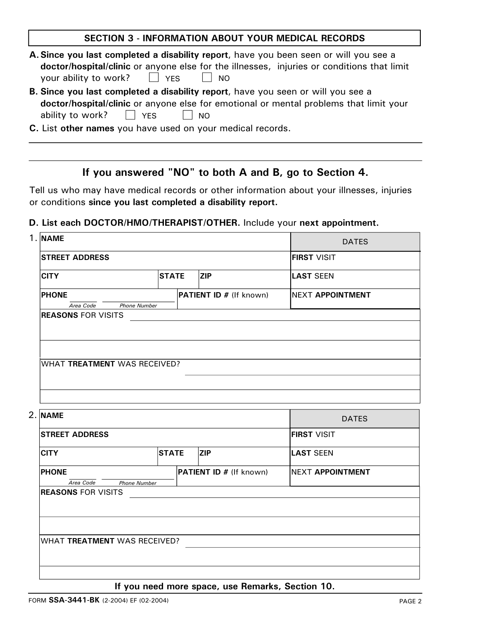#### **SECTION 3 - INFORMATION ABOUT YOUR MEDICAL RECORDS**

| A. Since you last completed a disability report, have you been seen or will you see a      |            |           |  |
|--------------------------------------------------------------------------------------------|------------|-----------|--|
| doctor/hospital/clinic or anyone else for the illnesses, injuries or conditions that limit |            |           |  |
| your ability to work?                                                                      | $\Box$ YES | $\Box$ NO |  |

- **B. Since you last completed a disability report**, have you seen or will you see a **doctor/hospital/clinic** or anyone else for emotional or mental problems that limit your ability to work?  $\Box$  YES  $\Box$  NO
- **C.** List **other names** you have used on your medical records.

## **If you answered "NO" to both A and B, go to Section 4.**

Tell us who may have medical records or other information about your illnesses, injuries or conditions **since you last completed a disability report.** 

#### **D. List each DOCTOR/HMO/THERAPIST/OTHER.** Include your **next appointment.**

| 1. NAME                                          |              |                                | <b>DATES</b>            |
|--------------------------------------------------|--------------|--------------------------------|-------------------------|
| <b>STREET ADDRESS</b>                            |              |                                | <b>FIRST VISIT</b>      |
| <b>CITY</b>                                      | <b>STATE</b> | <b>ZIP</b>                     | <b>ILAST SEEN</b>       |
| <b>PHONE</b><br>Area Code<br><b>Phone Number</b> |              | <b>PATIENT ID # (If known)</b> | <b>NEXT APPOINTMENT</b> |
| <b>REASONS FOR VISITS</b>                        |              |                                |                         |
|                                                  |              |                                |                         |
|                                                  |              |                                |                         |
| WHAT TREATMENT WAS RECEIVED?                     |              |                                |                         |
|                                                  |              |                                |                         |
|                                                  |              |                                |                         |

| 2. NAME<br><b>STREET ADDRESS</b> |                     |                                | <b>DATES</b><br><b>FIRST VISIT</b> |  |
|----------------------------------|---------------------|--------------------------------|------------------------------------|--|
|                                  |                     |                                |                                    |  |
| <b>PHONE</b>                     |                     | <b>PATIENT ID # (If known)</b> | <b>INEXT APPOINTMENT</b>           |  |
| Area Code                        | <b>Phone Number</b> |                                |                                    |  |
|                                  |                     |                                |                                    |  |
| WHAT TREATMENT WAS RECEIVED?     |                     |                                |                                    |  |
|                                  |                     |                                |                                    |  |
|                                  |                     |                                |                                    |  |
|                                  |                     |                                |                                    |  |
|                                  |                     |                                |                                    |  |

**If you need more space, use Remarks, Section 10.**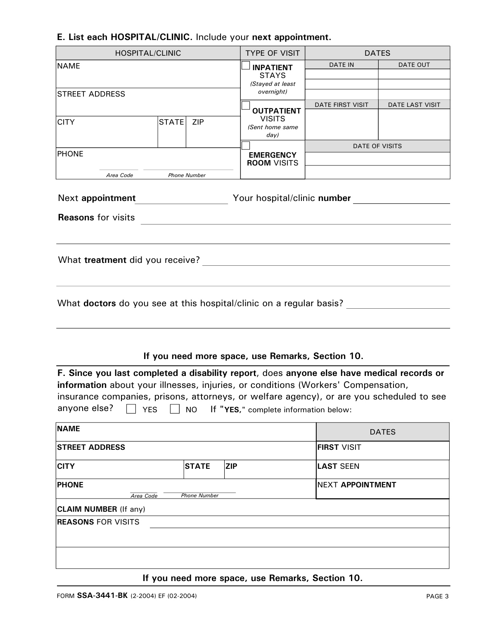# **E. List each HOSPITAL/CLINIC.** Include your **next appointment.**

| <b>HOSPITAL/CLINIC</b>                                                                                                                                                         |                                                |              | <b>TYPE OF VISIT</b>                             |  | <b>DATES</b>       |                 |
|--------------------------------------------------------------------------------------------------------------------------------------------------------------------------------|------------------------------------------------|--------------|--------------------------------------------------|--|--------------------|-----------------|
| <b>NAME</b>                                                                                                                                                                    |                                                |              | <b>INPATIENT</b>                                 |  |                    | DATE OUT        |
|                                                                                                                                                                                |                                                |              | <b>STAYS</b><br>(Stayed at least                 |  |                    |                 |
| <b>STREET ADDRESS</b>                                                                                                                                                          |                                                |              | overnight)                                       |  |                    |                 |
|                                                                                                                                                                                |                                                |              |                                                  |  | DATE FIRST VISIT   | DATE LAST VISIT |
| <b>CITY</b>                                                                                                                                                                    | <b>STATE</b>                                   | <b>ZIP</b>   | <b>OUTPATIENT</b><br><b>VISITS</b>               |  |                    |                 |
|                                                                                                                                                                                |                                                |              | (Sent home same<br>day)                          |  |                    |                 |
| PHONE                                                                                                                                                                          |                                                |              | <b>EMERGENCY</b>                                 |  | DATE OF VISITS     |                 |
|                                                                                                                                                                                |                                                |              | <b>ROOM VISITS</b>                               |  |                    |                 |
| Area Code                                                                                                                                                                      | <b>Phone Number</b>                            |              |                                                  |  |                    |                 |
| Next appointment                                                                                                                                                               |                                                |              | Your hospital/clinic number                      |  |                    |                 |
| <b>Reasons for visits</b>                                                                                                                                                      |                                                |              |                                                  |  |                    |                 |
|                                                                                                                                                                                |                                                |              |                                                  |  |                    |                 |
| What treatment did you receive?                                                                                                                                                |                                                |              |                                                  |  |                    |                 |
| What doctors do you see at this hospital/clinic on a regular basis?                                                                                                            |                                                |              | If you need more space, use Remarks, Section 10. |  |                    |                 |
|                                                                                                                                                                                |                                                |              |                                                  |  |                    |                 |
| F. Since you last completed a disability report, does anyone else have medical records or<br>information about your illnesses, injuries, or conditions (Workers' Compensation, |                                                |              |                                                  |  |                    |                 |
| insurance companies, prisons, attorneys, or welfare agency), or are you scheduled to see                                                                                       |                                                |              |                                                  |  |                    |                 |
| anyone else?<br><b>YES</b>                                                                                                                                                     |                                                | <b>NO</b>    | If "YES," complete information below:            |  |                    |                 |
| <b>NAME</b>                                                                                                                                                                    |                                                |              |                                                  |  |                    | <b>DATES</b>    |
| <b>STREET ADDRESS</b>                                                                                                                                                          |                                                |              |                                                  |  | <b>FIRST VISIT</b> |                 |
| <b>CITY</b>                                                                                                                                                                    |                                                | <b>STATE</b> | <b>ZIP</b>                                       |  | <b>LAST SEEN</b>   |                 |
| <b>PHONE</b><br>Area Code                                                                                                                                                      | <b>NEXT APPOINTMENT</b><br><b>Phone Number</b> |              |                                                  |  |                    |                 |
| CLAIM NUMBER (If any)                                                                                                                                                          |                                                |              |                                                  |  |                    |                 |
| <b>REASONS FOR VISITS</b>                                                                                                                                                      |                                                |              |                                                  |  |                    |                 |
|                                                                                                                                                                                |                                                |              |                                                  |  |                    |                 |
|                                                                                                                                                                                |                                                |              |                                                  |  |                    |                 |
|                                                                                                                                                                                |                                                |              |                                                  |  |                    |                 |

**If you need more space, use Remarks, Section 10.**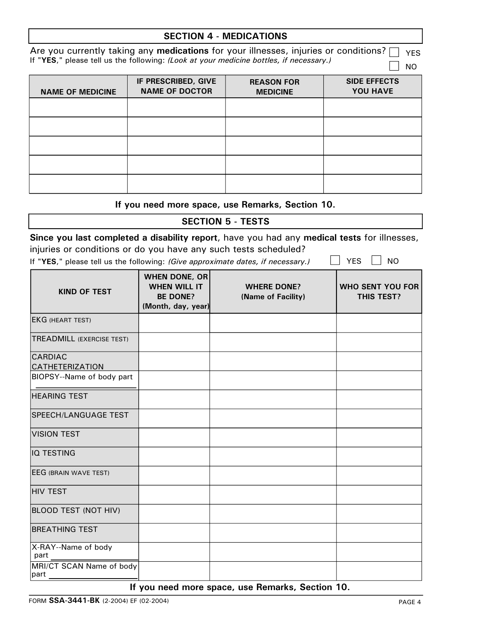#### **SECTION 4 - MEDICATIONS**

Are you currently taking any medications for your illnesses, injuries or conditions?  $\Box$   $_{\text{YES}}$ If "YES," please tell us the following: *(Look at your medicine bottles, if necessary.)* **NO** 

| <b>NAME OF MEDICINE</b> | IF PRESCRIBED, GIVE<br><b>NAME OF DOCTOR</b> | <b>REASON FOR</b><br><b>MEDICINE</b> | <b>SIDE EFFECTS</b><br><b>YOU HAVE</b> |
|-------------------------|----------------------------------------------|--------------------------------------|----------------------------------------|
|                         |                                              |                                      |                                        |
|                         |                                              |                                      |                                        |
|                         |                                              |                                      |                                        |
|                         |                                              |                                      |                                        |
|                         |                                              |                                      |                                        |

#### **If you need more space, use Remarks, Section 10.**

#### **SECTION 5 - TESTS**

# **Since you last completed a disability report**, have you had any **medical tests** for illnesses,

injuries or conditions or do you have any such tests scheduled?

|  | If "YES," please tell us the following: <i>(Give approximate dates, if necessary.)</i> |  | $\Box$ YES $\Box$ NO |  |  |
|--|----------------------------------------------------------------------------------------|--|----------------------|--|--|
|--|----------------------------------------------------------------------------------------|--|----------------------|--|--|

| <b>KIND OF TEST</b>               | WHEN DONE, OR<br><b>WHEN WILL IT</b><br><b>BE DONE?</b><br>(Month, day, year) | <b>WHERE DONE?</b><br>(Name of Facility)         | <b>WHO SENT YOU FOR</b><br>THIS TEST? |
|-----------------------------------|-------------------------------------------------------------------------------|--------------------------------------------------|---------------------------------------|
| <b>EKG (HEART TEST)</b>           |                                                                               |                                                  |                                       |
| <b>TREADMILL (EXERCISE TEST)</b>  |                                                                               |                                                  |                                       |
| CARDIAC<br>CATHETERIZATION        |                                                                               |                                                  |                                       |
| BIOPSY--Name of body part         |                                                                               |                                                  |                                       |
| <b>HEARING TEST</b>               |                                                                               |                                                  |                                       |
| <b>SPEECH/LANGUAGE TEST</b>       |                                                                               |                                                  |                                       |
| <b>VISION TEST</b>                |                                                                               |                                                  |                                       |
| IQ TESTING                        |                                                                               |                                                  |                                       |
| <b>EEG (BRAIN WAVE TEST)</b>      |                                                                               |                                                  |                                       |
| HIV TEST                          |                                                                               |                                                  |                                       |
| <b>BLOOD TEST (NOT HIV)</b>       |                                                                               |                                                  |                                       |
| <b>BREATHING TEST</b>             |                                                                               |                                                  |                                       |
| X-RAY--Name of body<br>part       |                                                                               |                                                  |                                       |
| MRI/CT SCAN Name of body<br>∣part |                                                                               |                                                  |                                       |
|                                   |                                                                               | If you need more space, use Remarks, Section 10. |                                       |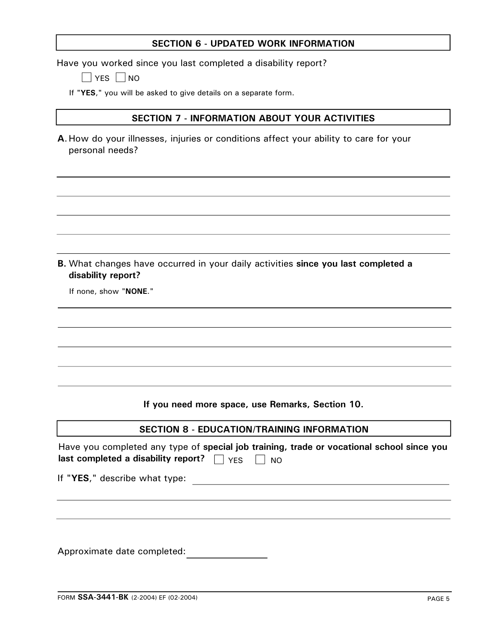#### **SECTION 6 - UPDATED WORK INFORMATION**

Have you worked since you last completed a disability report?

 $\Box$  YES  $\Box$  NO

If "**YES**," you will be asked to give details on a separate form.

#### **SECTION 7 - INFORMATION ABOUT YOUR ACTIVITIES**

**A**. How do your illnesses, injuries or conditions affect your ability to care for your personal needs?

**B.** What changes have occurred in your daily activities **since you last completed a disability report?** 

If none, show "**NONE**."

**If you need more space, use Remarks, Section 10.** 

#### **SECTION 8 - EDUCATION/TRAINING INFORMATION**

| Have you completed any type of special job training, trade or vocational school since you<br>last completed a disability report? $\Box$ YES<br><b>NO</b> |
|----------------------------------------------------------------------------------------------------------------------------------------------------------|
| If "YES," describe what type:                                                                                                                            |
|                                                                                                                                                          |
|                                                                                                                                                          |
| Approximate date completed:                                                                                                                              |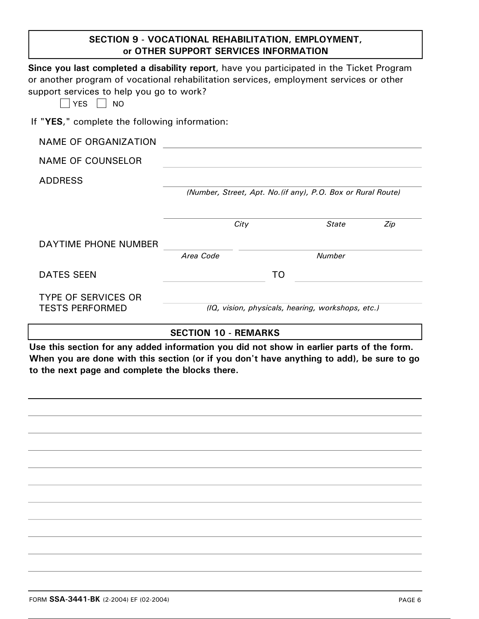|                                                                                                                                                                                                                                                     | <b>SECTION 9 - VOCATIONAL REHABILITATION, EMPLOYMENT,</b><br>or OTHER SUPPORT SERVICES INFORMATION |                                                              |  |
|-----------------------------------------------------------------------------------------------------------------------------------------------------------------------------------------------------------------------------------------------------|----------------------------------------------------------------------------------------------------|--------------------------------------------------------------|--|
| Since you last completed a disability report, have you participated in the Ticket Program<br>or another program of vocational rehabilitation services, employment services or other<br>support services to help you go to work?<br><b>YES</b><br>NO |                                                                                                    |                                                              |  |
| If "YES," complete the following information:                                                                                                                                                                                                       |                                                                                                    |                                                              |  |
| <b>NAME OF ORGANIZATION</b>                                                                                                                                                                                                                         |                                                                                                    |                                                              |  |
| NAME OF COUNSELOR                                                                                                                                                                                                                                   |                                                                                                    |                                                              |  |
| <b>ADDRESS</b>                                                                                                                                                                                                                                      |                                                                                                    | (Number, Street, Apt. No. (if any), P.O. Box or Rural Route) |  |
|                                                                                                                                                                                                                                                     | City                                                                                               | <b>State</b><br>Zip                                          |  |
| DAYTIME PHONE NUMBER                                                                                                                                                                                                                                | Area Code                                                                                          | <b>Number</b>                                                |  |
| <b>DATES SEEN</b>                                                                                                                                                                                                                                   |                                                                                                    | TO                                                           |  |
| <b>TYPE OF SERVICES OR</b><br><b>TESTS PERFORMED</b>                                                                                                                                                                                                |                                                                                                    | (IQ, vision, physicals, hearing, workshops, etc.)            |  |

**SECTION 10 - REMARKS** 

**Use this section for any added information you did not show in earlier parts of the form. When you are done with this section (or if you don't have anything to add), be sure to go to the next page and complete the blocks there.**